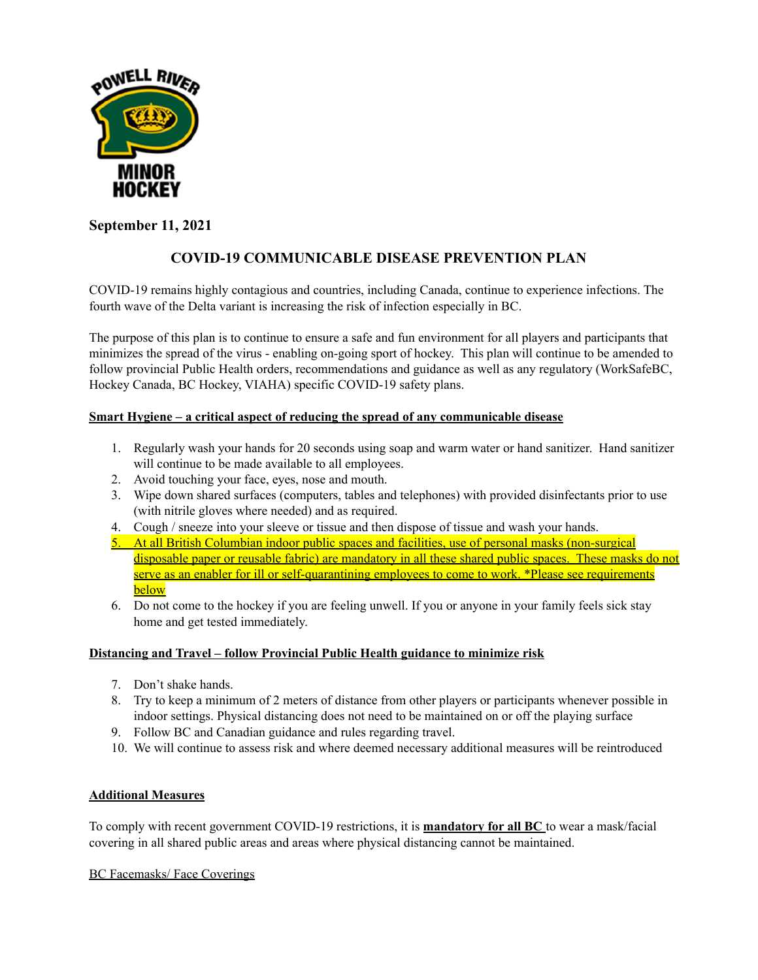

# **September 11, 2021**

# **COVID-19 COMMUNICABLE DISEASE PREVENTION PLAN**

COVID-19 remains highly contagious and countries, including Canada, continue to experience infections. The fourth wave of the Delta variant is increasing the risk of infection especially in BC.

The purpose of this plan is to continue to ensure a safe and fun environment for all players and participants that minimizes the spread of the virus - enabling on-going sport of hockey. This plan will continue to be amended to follow provincial Public Health orders, recommendations and guidance as well as any regulatory (WorkSafeBC, Hockey Canada, BC Hockey, VIAHA) specific COVID-19 safety plans.

## **Smart Hygiene – a critical aspect of reducing the spread of any communicable disease**

- 1. Regularly wash your hands for 20 seconds using soap and warm water or hand sanitizer. Hand sanitizer will continue to be made available to all employees.
- 2. Avoid touching your face, eyes, nose and mouth.
- 3. Wipe down shared surfaces (computers, tables and telephones) with provided disinfectants prior to use (with nitrile gloves where needed) and as required.
- 4. Cough / sneeze into your sleeve or tissue and then dispose of tissue and wash your hands.
- 5. At all British Columbian indoor public spaces and facilities, use of personal masks (non-surgical disposable paper or reusable fabric) are mandatory in all these shared public spaces. These masks do not serve as an enabler for ill or self-quarantining employees to come to work. \*Please see requirements below
- 6. Do not come to the hockey if you are feeling unwell. If you or anyone in your family feels sick stay home and get tested immediately.

### **Distancing and Travel – follow Provincial Public Health guidance to minimize risk**

- 7. Don't shake hands.
- 8. Try to keep a minimum of 2 meters of distance from other players or participants whenever possible in indoor settings. Physical distancing does not need to be maintained on or off the playing surface
- 9. Follow BC and Canadian guidance and rules regarding travel.
- 10. We will continue to assess risk and where deemed necessary additional measures will be reintroduced

### **Additional Measures**

To comply with recent government COVID-19 restrictions, it is **mandatory for all BC** to wear a mask/facial covering in all shared public areas and areas where physical distancing cannot be maintained.

BC Facemasks/ Face Coverings